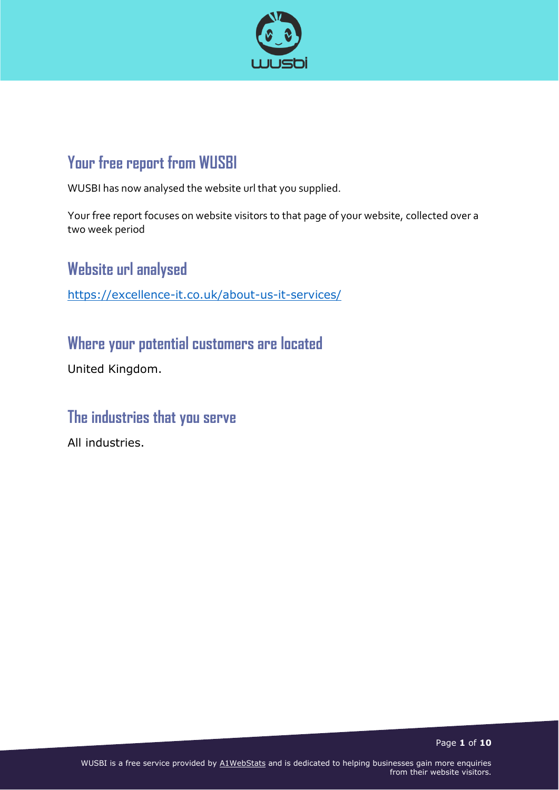

# **Your free report from WUSBI**

WUSBI has now analysed the website url that you supplied.

Your free report focuses on website visitors to that page of your website, collected over a two week period

**Website url analysed**

<https://excellence-it.co.uk/about-us-it-services/>

**Where your potential customers are located**

United Kingdom.

### **The industries that you serve**

All industries.

Page **1** of **10**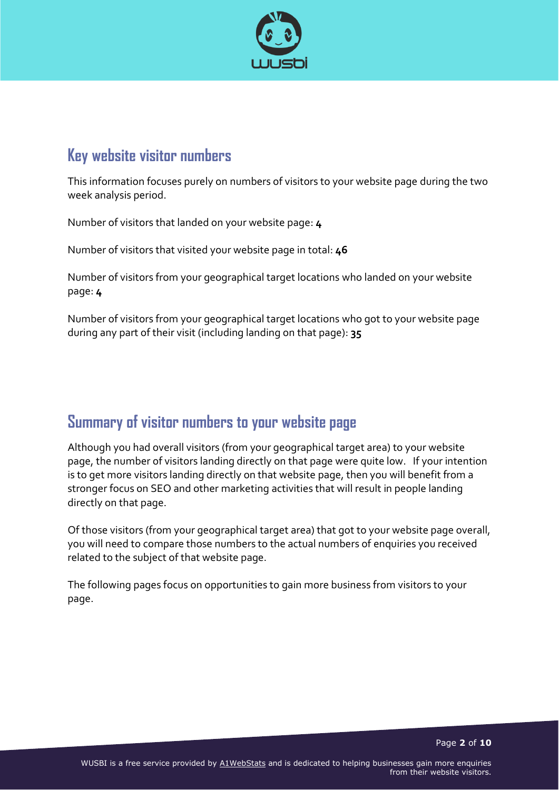

### **Key website visitor numbers**

This information focuses purely on numbers of visitors to your website page during the two week analysis period.

Number of visitors that landed on your website page: **4**

Number of visitors that visited your website page in total: **46**

Number of visitors from your geographical target locations who landed on your website page: **4**

Number of visitors from your geographical target locations who got to your website page during any part of their visit (including landing on that page): **35**

## **Summary of visitor numbers to your website page**

Although you had overall visitors (from your geographical target area) to your website page, the number of visitors landing directly on that page were quite low. If your intention is to get more visitors landing directly on that website page, then you will benefit from a stronger focus on SEO and other marketing activities that will result in people landing directly on that page.

Of those visitors (from your geographical target area) that got to your website page overall, you will need to compare those numbers to the actual numbers of enquiries you received related to the subject of that website page.

The following pages focus on opportunities to gain more business from visitors to your page.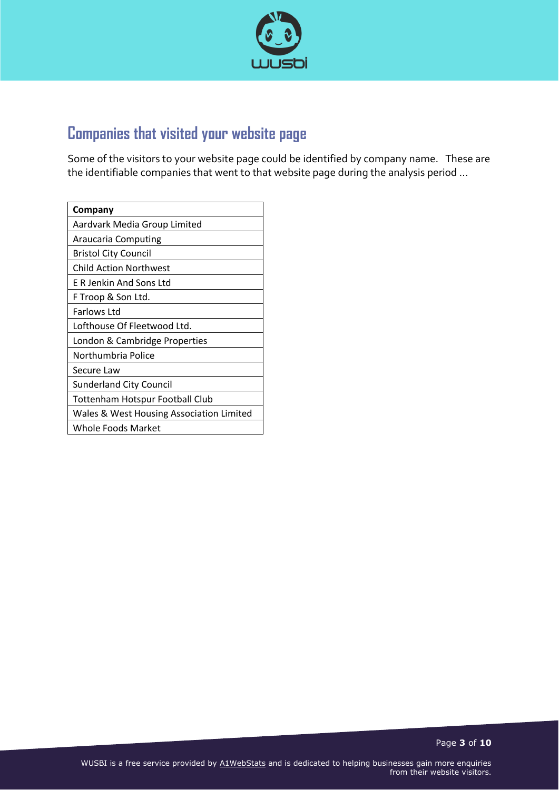

# **Companies that visited your website page**

Some of the visitors to your website page could be identified by company name. These are the identifiable companies that went to that website page during the analysis period …

| Company                                  |
|------------------------------------------|
| Aardvark Media Group Limited             |
| Araucaria Computing                      |
| <b>Bristol City Council</b>              |
| Child Action Northwest                   |
| E R Jenkin And Sons Ltd                  |
| F Troop & Son Ltd.                       |
| Farlows Ltd                              |
| Lofthouse Of Fleetwood Ltd.              |
| London & Cambridge Properties            |
| Northumbria Police                       |
| Secure Law                               |
| <b>Sunderland City Council</b>           |
| Tottenham Hotspur Football Club          |
| Wales & West Housing Association Limited |
| Whole Foods Market                       |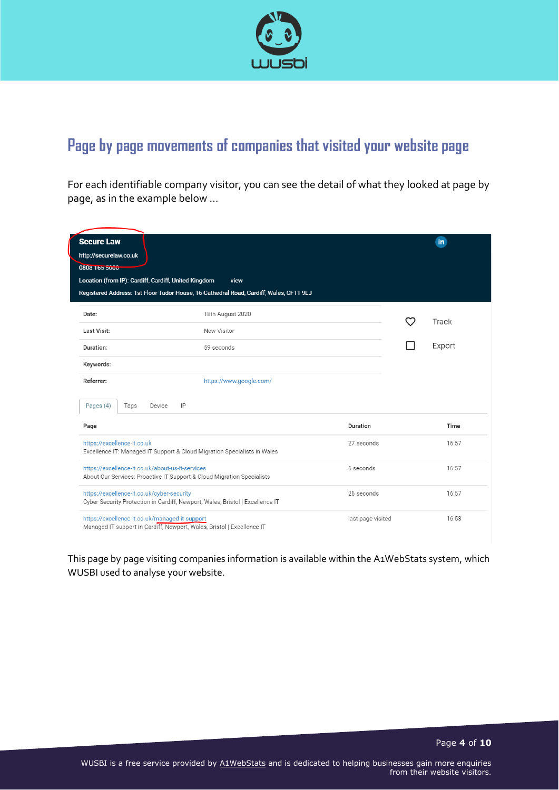

# **Page by page movements of companies that visited your website page**

For each identifiable company visitor, you can see the detail of what they looked at page by page, as in the example below …

| <b>Secure Law</b>                                                                                                           |                                                                                        |                   | in     |
|-----------------------------------------------------------------------------------------------------------------------------|----------------------------------------------------------------------------------------|-------------------|--------|
| http://securelaw.co.uk                                                                                                      |                                                                                        |                   |        |
| 0808 165 5000                                                                                                               |                                                                                        |                   |        |
| Location (from IP): Cardiff, Cardiff, United Kingdom                                                                        | view                                                                                   |                   |        |
|                                                                                                                             | Registered Address: 1st Floor Tudor House, 16 Cathedral Road, Cardiff, Wales, CF11 9LJ |                   |        |
|                                                                                                                             |                                                                                        |                   |        |
| Date:                                                                                                                       | 18th August 2020                                                                       |                   |        |
| Last Visit:                                                                                                                 | New Visitor                                                                            |                   | Track  |
|                                                                                                                             |                                                                                        |                   | Export |
| Duration:                                                                                                                   | 59 seconds                                                                             |                   |        |
| Keywords:                                                                                                                   |                                                                                        |                   |        |
| Referrer:                                                                                                                   | https://www.google.com/                                                                |                   |        |
| Pages (4)<br>Device<br>Tags                                                                                                 | IP                                                                                     |                   |        |
| Page                                                                                                                        |                                                                                        | Duration          | Time   |
| https://excellence-it.co.uk<br>Excellence IT: Managed IT Support & Cloud Migration Specialists in Wales                     |                                                                                        | 27 seconds        | 16:57  |
| https://excellence-it.co.uk/about-us-it-services<br>About Our Services: Proactive IT Support & Cloud Migration Specialists  |                                                                                        | 6 seconds         | 16:57  |
| https://excellence-it.co.uk/cyber-security<br>Cyber Security Protection in Cardiff, Newport, Wales, Bristol   Excellence IT |                                                                                        | 26 seconds        | 16:57  |
| https://excellence-it.co.uk/managed-it-support<br>Managed IT support in Cardiff, Newport, Wales, Bristol   Excellence IT    |                                                                                        | last page visited | 16:58  |

This page by page visiting companies information is available within the A1WebStats system, which WUSBI used to analyse your website.

Page **4** of **10**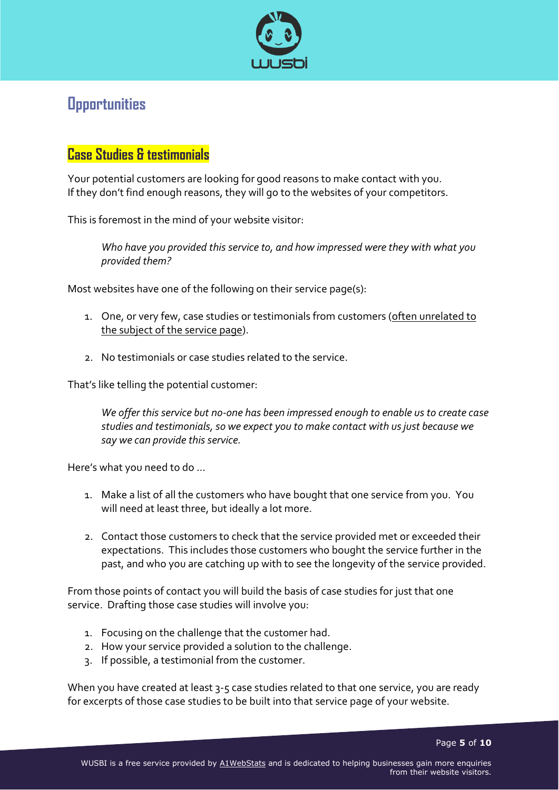

## **Opportunities**

### **Case Studies & testimonials**

Your potential customers are looking for good reasons to make contact with you. If they don't find enough reasons, they will go to the websites of your competitors.

This is foremost in the mind of your website visitor:

*Who have you provided this service to, and how impressed were they with what you provided them?*

Most websites have one of the following on their service page(s):

- 1. One, or very few, case studies or testimonials from customers (often unrelated to the subject of the service page).
- 2. No testimonials or case studies related to the service.

That's like telling the potential customer:

*We offer this service but no-one has been impressed enough to enable us to create case studies and testimonials, so we expect you to make contact with us just because we say we can provide this service.*

Here's what you need to do …

- 1. Make a list of all the customers who have bought that one service from you. You will need at least three, but ideally a lot more.
- 2. Contact those customers to check that the service provided met or exceeded their expectations. This includes those customers who bought the service further in the past, and who you are catching up with to see the longevity of the service provided.

From those points of contact you will build the basis of case studies for just that one service. Drafting those case studies will involve you:

- 1. Focusing on the challenge that the customer had.
- 2. How your service provided a solution to the challenge.
- 3. If possible, a testimonial from the customer.

When you have created at least 3-5 case studies related to that one service, you are ready for excerpts of those case studies to be built into that service page of your website.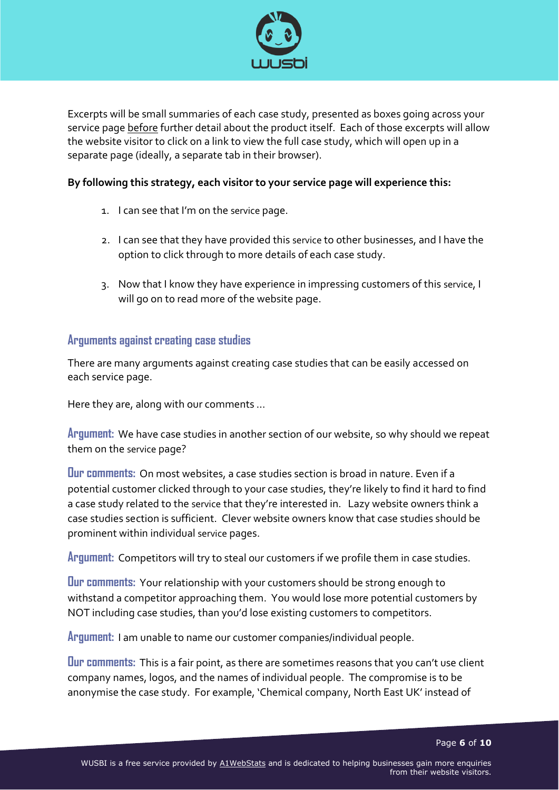

Excerpts will be small summaries of each case study, presented as boxes going across your service page before further detail about the product itself. Each of those excerpts will allow the website visitor to click on a link to view the full case study, which will open up in a separate page (ideally, a separate tab in their browser).

#### **By following this strategy, each visitor to your service page will experience this:**

- 1. I can see that I'm on the service page.
- 2. I can see that they have provided this service to other businesses, and I have the option to click through to more details of each case study.
- 3. Now that I know they have experience in impressing customers of this service, I will go on to read more of the website page.

#### **Arguments against creating case studies**

There are many arguments against creating case studies that can be easily accessed on each service page.

Here they are, along with our comments …

**Argument:** We have case studies in another section of our website, so why should we repeat them on the service page?

**Our comments:** On most websites, a case studies section is broad in nature. Even if a potential customer clicked through to your case studies, they're likely to find it hard to find a case study related to the service that they're interested in. Lazy website owners think a case studies section is sufficient. Clever website owners know that case studies should be prominent within individual service pages.

**Argument:** Competitors will try to steal our customers if we profile them in case studies.

**Our comments:** Your relationship with your customers should be strong enough to withstand a competitor approaching them. You would lose more potential customers by NOT including case studies, than you'd lose existing customers to competitors.

**Argument:** I am unable to name our customer companies/individual people.

**Our comments:** This is a fair point, as there are sometimes reasons that you can't use client company names, logos, and the names of individual people. The compromise is to be anonymise the case study. For example, 'Chemical company, North East UK' instead of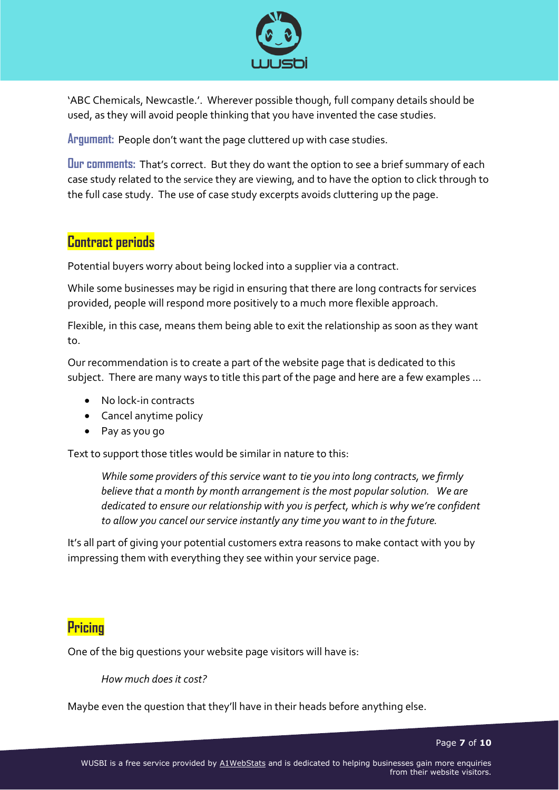

'ABC Chemicals, Newcastle.'. Wherever possible though, full company details should be used, as they will avoid people thinking that you have invented the case studies.

**Argument:** People don't want the page cluttered up with case studies.

**Our comments:** That's correct. But they do want the option to see a brief summary of each case study related to the service they are viewing, and to have the option to click through to the full case study. The use of case study excerpts avoids cluttering up the page.

### **Contract periods**

Potential buyers worry about being locked into a supplier via a contract.

While some businesses may be rigid in ensuring that there are long contracts for services provided, people will respond more positively to a much more flexible approach.

Flexible, in this case, means them being able to exit the relationship as soon as they want to.

Our recommendation is to create a part of the website page that is dedicated to this subject. There are many ways to title this part of the page and here are a few examples …

- No lock-in contracts
- Cancel anytime policy
- Pay as you go

Text to support those titles would be similar in nature to this:

*While some providers of this service want to tie you into long contracts, we firmly believe that a month by month arrangement is the most popular solution. We are dedicated to ensure our relationship with you is perfect, which is why we're confident to allow you cancel our service instantly any time you want to in the future.*

It's all part of giving your potential customers extra reasons to make contact with you by impressing them with everything they see within your service page.

### **Pricing**

One of the big questions your website page visitors will have is:

#### *How much does it cost?*

Maybe even the question that they'll have in their heads before anything else.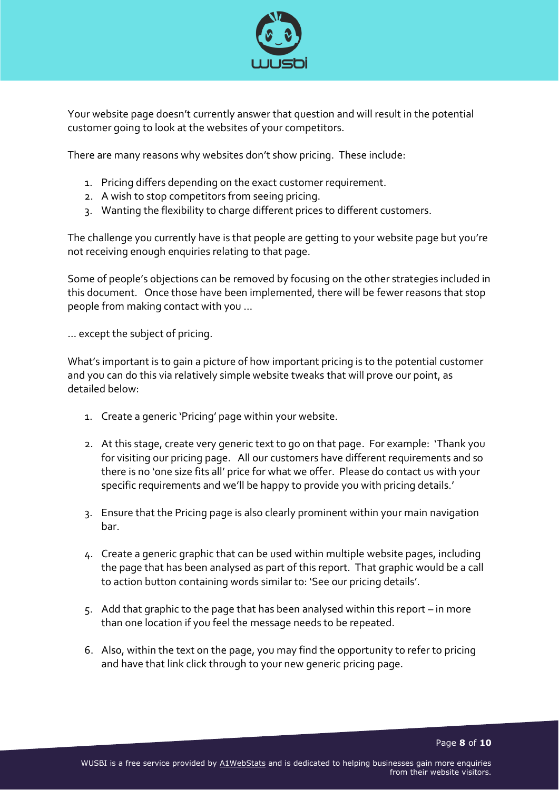

Your website page doesn't currently answer that question and will result in the potential customer going to look at the websites of your competitors.

There are many reasons why websites don't show pricing. These include:

- 1. Pricing differs depending on the exact customer requirement.
- 2. A wish to stop competitors from seeing pricing.
- 3. Wanting the flexibility to charge different prices to different customers.

The challenge you currently have is that people are getting to your website page but you're not receiving enough enquiries relating to that page.

Some of people's objections can be removed by focusing on the other strategies included in this document. Once those have been implemented, there will be fewer reasons that stop people from making contact with you …

… except the subject of pricing.

What's important is to gain a picture of how important pricing is to the potential customer and you can do this via relatively simple website tweaks that will prove our point, as detailed below:

- 1. Create a generic 'Pricing' page within your website.
- 2. At this stage, create very generic text to go on that page. For example: 'Thank you for visiting our pricing page. All our customers have different requirements and so there is no 'one size fits all' price for what we offer. Please do contact us with your specific requirements and we'll be happy to provide you with pricing details.'
- 3. Ensure that the Pricing page is also clearly prominent within your main navigation bar.
- 4. Create a generic graphic that can be used within multiple website pages, including the page that has been analysed as part of this report. That graphic would be a call to action button containing words similar to: 'See our pricing details'.
- 5. Add that graphic to the page that has been analysed within this report in more than one location if you feel the message needs to be repeated.
- 6. Also, within the text on the page, you may find the opportunity to refer to pricing and have that link click through to your new generic pricing page.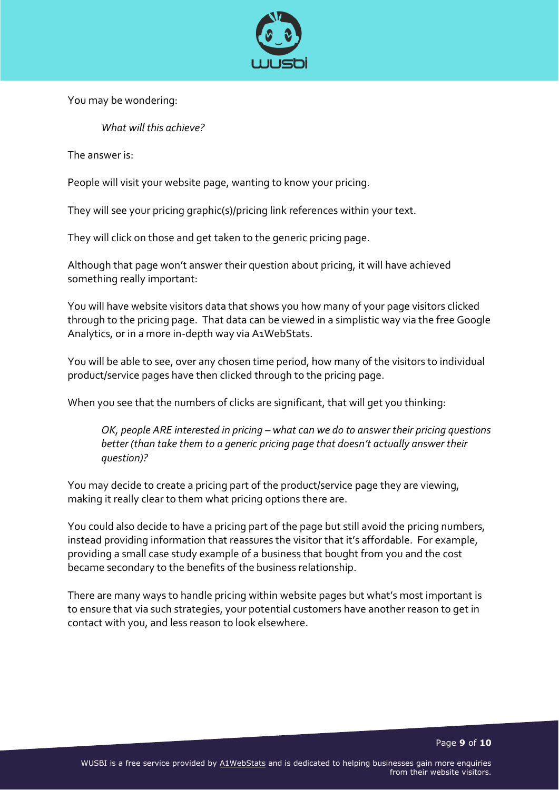

You may be wondering:

*What will this achieve?*

The answer is:

People will visit your website page, wanting to know your pricing.

They will see your pricing graphic(s)/pricing link references within your text.

They will click on those and get taken to the generic pricing page.

Although that page won't answer their question about pricing, it will have achieved something really important:

You will have website visitors data that shows you how many of your page visitors clicked through to the pricing page. That data can be viewed in a simplistic way via the free Google Analytics, or in a more in-depth way via A1WebStats.

You will be able to see, over any chosen time period, how many of the visitors to individual product/service pages have then clicked through to the pricing page.

When you see that the numbers of clicks are significant, that will get you thinking:

*OK, people ARE interested in pricing – what can we do to answer their pricing questions better (than take them to a generic pricing page that doesn't actually answer their question)?*

You may decide to create a pricing part of the product/service page they are viewing, making it really clear to them what pricing options there are.

You could also decide to have a pricing part of the page but still avoid the pricing numbers, instead providing information that reassures the visitor that it's affordable. For example, providing a small case study example of a business that bought from you and the cost became secondary to the benefits of the business relationship.

There are many ways to handle pricing within website pages but what's most important is to ensure that via such strategies, your potential customers have another reason to get in contact with you, and less reason to look elsewhere.